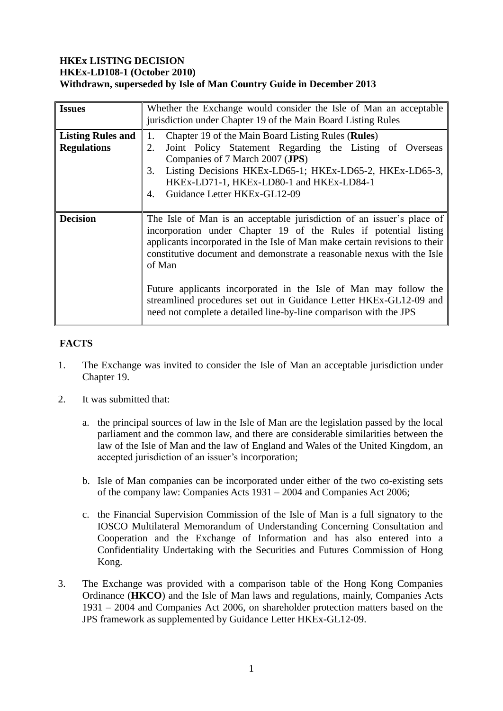## **HKEx LISTING DECISION HKEx-LD108-1 (October 2010) Withdrawn, superseded by Isle of Man Country Guide in December 2013**

| <b>Issues</b>                                  | Whether the Exchange would consider the Isle of Man an acceptable<br>jurisdiction under Chapter 19 of the Main Board Listing Rules                                                                                                                                                                                                                                                                                                                                                                                         |
|------------------------------------------------|----------------------------------------------------------------------------------------------------------------------------------------------------------------------------------------------------------------------------------------------------------------------------------------------------------------------------------------------------------------------------------------------------------------------------------------------------------------------------------------------------------------------------|
| <b>Listing Rules and</b><br><b>Regulations</b> | Chapter 19 of the Main Board Listing Rules (Rules)<br>1.<br>Joint Policy Statement Regarding the Listing of Overseas<br>2.<br>Companies of 7 March 2007 (JPS)<br>Listing Decisions HKEx-LD65-1; HKEx-LD65-2, HKEx-LD65-3,<br>3.<br>HKEx-LD71-1, HKEx-LD80-1 and HKEx-LD84-1<br>Guidance Letter HKEx-GL12-09<br>4.                                                                                                                                                                                                          |
| <b>Decision</b>                                | The Isle of Man is an acceptable jurisdiction of an issuer's place of<br>incorporation under Chapter 19 of the Rules if potential listing<br>applicants incorporated in the Isle of Man make certain revisions to their<br>constitutive document and demonstrate a reasonable nexus with the Isle<br>of Man<br>Future applicants incorporated in the Isle of Man may follow the<br>streamlined procedures set out in Guidance Letter HKEx-GL12-09 and<br>need not complete a detailed line-by-line comparison with the JPS |

## **FACTS**

- 1. The Exchange was invited to consider the Isle of Man an acceptable jurisdiction under Chapter 19.
- 2. It was submitted that:
	- a. the principal sources of law in the Isle of Man are the legislation passed by the local parliament and the common law, and there are considerable similarities between the law of the Isle of Man and the law of England and Wales of the United Kingdom, an accepted jurisdiction of an issuer's incorporation;
	- b. Isle of Man companies can be incorporated under either of the two co-existing sets of the company law: Companies Acts 1931 – 2004 and Companies Act 2006;
	- c. the Financial Supervision Commission of the Isle of Man is a full signatory to the IOSCO Multilateral Memorandum of Understanding Concerning Consultation and Cooperation and the Exchange of Information and has also entered into a Confidentiality Undertaking with the Securities and Futures Commission of Hong Kong.
- 3. The Exchange was provided with a comparison table of the Hong Kong Companies Ordinance (**HKCO**) and the Isle of Man laws and regulations, mainly, Companies Acts 1931 – 2004 and Companies Act 2006, on shareholder protection matters based on the JPS framework as supplemented by Guidance Letter HKEx-GL12-09.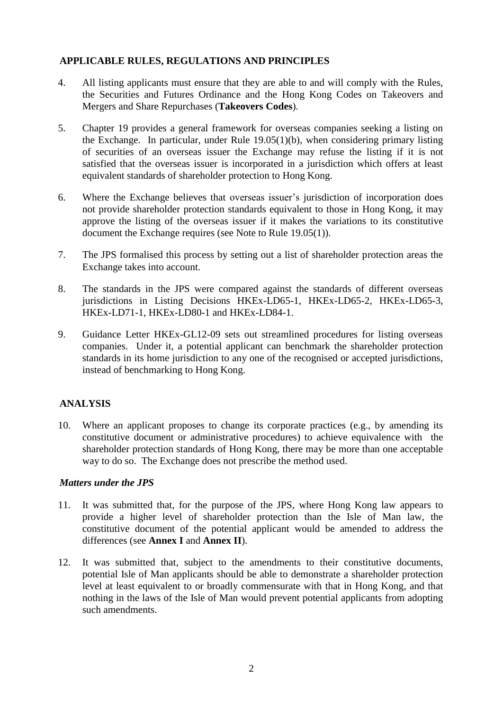## **APPLICABLE RULES, REGULATIONS AND PRINCIPLES**

- 4. All listing applicants must ensure that they are able to and will comply with the Rules, the Securities and Futures Ordinance and the Hong Kong Codes on Takeovers and Mergers and Share Repurchases (**Takeovers Codes**).
- 5. Chapter 19 provides a general framework for overseas companies seeking a listing on the Exchange. In particular, under Rule 19.05(1)(b), when considering primary listing of securities of an overseas issuer the Exchange may refuse the listing if it is not satisfied that the overseas issuer is incorporated in a jurisdiction which offers at least equivalent standards of shareholder protection to Hong Kong.
- 6. Where the Exchange believes that overseas issuer's jurisdiction of incorporation does not provide shareholder protection standards equivalent to those in Hong Kong, it may approve the listing of the overseas issuer if it makes the variations to its constitutive document the Exchange requires (see Note to Rule 19.05(1)).
- 7. The JPS formalised this process by setting out a list of shareholder protection areas the Exchange takes into account.
- 8. The standards in the JPS were compared against the standards of different overseas jurisdictions in Listing Decisions HKEx-LD65-1, HKEx-LD65-2, HKEx-LD65-3, HKEx-LD71-1, HKEx-LD80-1 and HKEx-LD84-1.
- 9. Guidance Letter HKEx-GL12-09 sets out streamlined procedures for listing overseas companies. Under it, a potential applicant can benchmark the shareholder protection standards in its home jurisdiction to any one of the recognised or accepted jurisdictions, instead of benchmarking to Hong Kong.

## **ANALYSIS**

10. Where an applicant proposes to change its corporate practices (e.g., by amending its constitutive document or administrative procedures) to achieve equivalence with the shareholder protection standards of Hong Kong, there may be more than one acceptable way to do so. The Exchange does not prescribe the method used.

#### *Matters under the JPS*

- 11. It was submitted that, for the purpose of the JPS, where Hong Kong law appears to provide a higher level of shareholder protection than the Isle of Man law, the constitutive document of the potential applicant would be amended to address the differences (see **Annex I** and **Annex II**).
- 12. It was submitted that, subject to the amendments to their constitutive documents, potential Isle of Man applicants should be able to demonstrate a shareholder protection level at least equivalent to or broadly commensurate with that in Hong Kong, and that nothing in the laws of the Isle of Man would prevent potential applicants from adopting such amendments.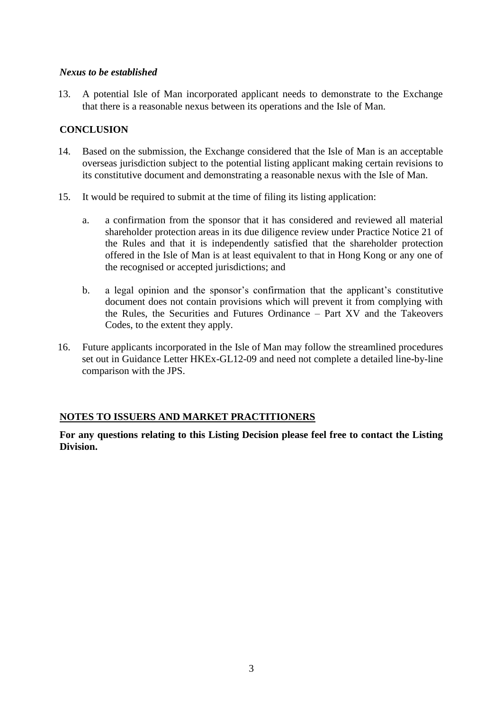#### *Nexus to be established*

13. A potential Isle of Man incorporated applicant needs to demonstrate to the Exchange that there is a reasonable nexus between its operations and the Isle of Man.

### **CONCLUSION**

- 14. Based on the submission, the Exchange considered that the Isle of Man is an acceptable overseas jurisdiction subject to the potential listing applicant making certain revisions to its constitutive document and demonstrating a reasonable nexus with the Isle of Man.
- 15. It would be required to submit at the time of filing its listing application:
	- a. a confirmation from the sponsor that it has considered and reviewed all material shareholder protection areas in its due diligence review under Practice Notice 21 of the Rules and that it is independently satisfied that the shareholder protection offered in the Isle of Man is at least equivalent to that in Hong Kong or any one of the recognised or accepted jurisdictions; and
	- b. a legal opinion and the sponsor's confirmation that the applicant's constitutive document does not contain provisions which will prevent it from complying with the Rules, the Securities and Futures Ordinance – Part XV and the Takeovers Codes, to the extent they apply.
- 16. Future applicants incorporated in the Isle of Man may follow the streamlined procedures set out in Guidance Letter HKEx-GL12-09 and need not complete a detailed line-by-line comparison with the JPS.

## **NOTES TO ISSUERS AND MARKET PRACTITIONERS**

**For any questions relating to this Listing Decision please feel free to contact the Listing Division.**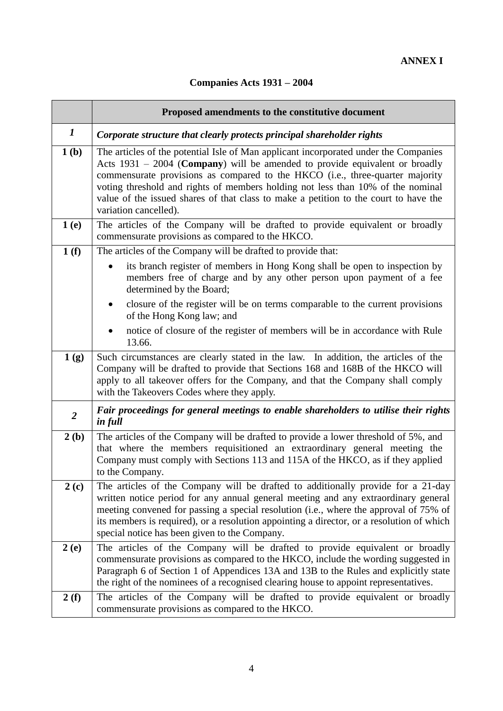# **Companies Acts 1931 – 2004**

|                  | Proposed amendments to the constitutive document                                                                                                                                                                                                                                                                                                                                                                                                                    |
|------------------|---------------------------------------------------------------------------------------------------------------------------------------------------------------------------------------------------------------------------------------------------------------------------------------------------------------------------------------------------------------------------------------------------------------------------------------------------------------------|
| $\boldsymbol{I}$ | Corporate structure that clearly protects principal shareholder rights                                                                                                                                                                                                                                                                                                                                                                                              |
| 1(b)             | The articles of the potential Isle of Man applicant incorporated under the Companies<br>Acts $1931 - 2004$ ( <b>Company</b> ) will be amended to provide equivalent or broadly<br>commensurate provisions as compared to the HKCO (i.e., three-quarter majority<br>voting threshold and rights of members holding not less than 10% of the nominal<br>value of the issued shares of that class to make a petition to the court to have the<br>variation cancelled). |
| 1(e)             | The articles of the Company will be drafted to provide equivalent or broadly<br>commensurate provisions as compared to the HKCO.                                                                                                                                                                                                                                                                                                                                    |
| 1(f)             | The articles of the Company will be drafted to provide that:                                                                                                                                                                                                                                                                                                                                                                                                        |
|                  | its branch register of members in Hong Kong shall be open to inspection by<br>members free of charge and by any other person upon payment of a fee<br>determined by the Board;                                                                                                                                                                                                                                                                                      |
|                  | closure of the register will be on terms comparable to the current provisions<br>$\bullet$<br>of the Hong Kong law; and                                                                                                                                                                                                                                                                                                                                             |
|                  | notice of closure of the register of members will be in accordance with Rule<br>13.66.                                                                                                                                                                                                                                                                                                                                                                              |
| 1(g)             | Such circumstances are clearly stated in the law. In addition, the articles of the<br>Company will be drafted to provide that Sections 168 and 168B of the HKCO will<br>apply to all takeover offers for the Company, and that the Company shall comply<br>with the Takeovers Codes where they apply.                                                                                                                                                               |
| $\overline{2}$   | Fair proceedings for general meetings to enable shareholders to utilise their rights<br>in full                                                                                                                                                                                                                                                                                                                                                                     |
| 2(b)             | The articles of the Company will be drafted to provide a lower threshold of 5%, and<br>that where the members requisitioned an extraordinary general meeting the<br>Company must comply with Sections 113 and 115A of the HKCO, as if they applied<br>to the Company.                                                                                                                                                                                               |
| 2(c)             | The articles of the Company will be drafted to additionally provide for a 21-day<br>written notice period for any annual general meeting and any extraordinary general<br>meeting convened for passing a special resolution (i.e., where the approval of 75% of<br>its members is required), or a resolution appointing a director, or a resolution of which<br>special notice has been given to the Company.                                                       |
| 2(e)             | The articles of the Company will be drafted to provide equivalent or broadly<br>commensurate provisions as compared to the HKCO, include the wording suggested in<br>Paragraph 6 of Section 1 of Appendices 13A and 13B to the Rules and explicitly state<br>the right of the nominees of a recognised clearing house to appoint representatives.                                                                                                                   |
| 2(f)             | The articles of the Company will be drafted to provide equivalent or broadly<br>commensurate provisions as compared to the HKCO.                                                                                                                                                                                                                                                                                                                                    |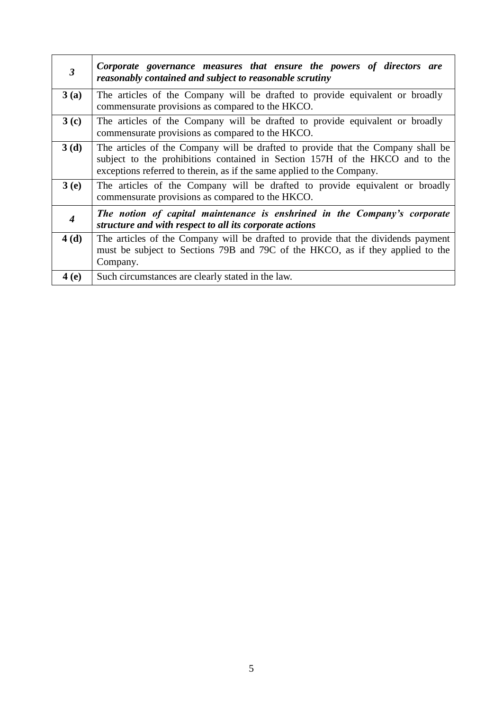| $\mathfrak{Z}$   | Corporate governance measures that ensure the powers of directors are<br>reasonably contained and subject to reasonable scrutiny                                                                                                           |
|------------------|--------------------------------------------------------------------------------------------------------------------------------------------------------------------------------------------------------------------------------------------|
| 3(a)             | The articles of the Company will be drafted to provide equivalent or broadly<br>commensurate provisions as compared to the HKCO.                                                                                                           |
| 3 <sub>(c)</sub> | The articles of the Company will be drafted to provide equivalent or broadly<br>commensurate provisions as compared to the HKCO.                                                                                                           |
| 3(d)             | The articles of the Company will be drafted to provide that the Company shall be<br>subject to the prohibitions contained in Section 157H of the HKCO and to the<br>exceptions referred to therein, as if the same applied to the Company. |
| 3(e)             | The articles of the Company will be drafted to provide equivalent or broadly<br>commensurate provisions as compared to the HKCO.                                                                                                           |
| $\boldsymbol{4}$ | The notion of capital maintenance is enshrined in the Company's corporate<br>structure and with respect to all its corporate actions                                                                                                       |
| 4(d)             | The articles of the Company will be drafted to provide that the dividends payment<br>must be subject to Sections 79B and 79C of the HKCO, as if they applied to the<br>Company.                                                            |
| <b>4</b> (e)     | Such circumstances are clearly stated in the law.                                                                                                                                                                                          |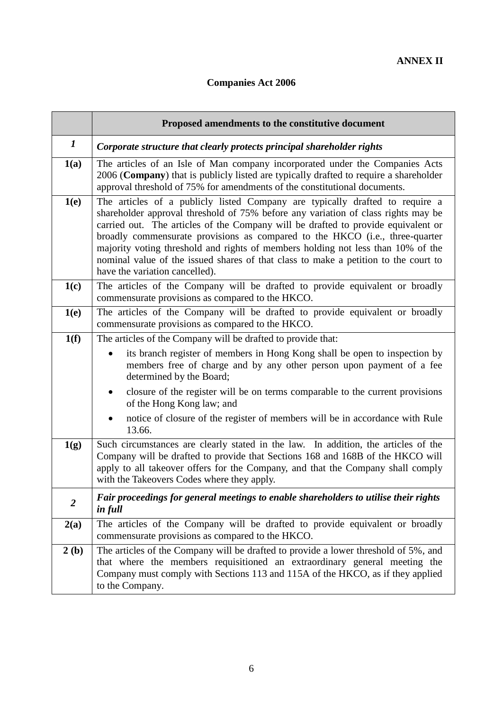# **Companies Act 2006**

|                | Proposed amendments to the constitutive document                                                                                                                                                                                                                                                                                                                                                                                                                                                                                                    |
|----------------|-----------------------------------------------------------------------------------------------------------------------------------------------------------------------------------------------------------------------------------------------------------------------------------------------------------------------------------------------------------------------------------------------------------------------------------------------------------------------------------------------------------------------------------------------------|
| $\bm{l}$       | Corporate structure that clearly protects principal shareholder rights                                                                                                                                                                                                                                                                                                                                                                                                                                                                              |
| 1(a)           | The articles of an Isle of Man company incorporated under the Companies Acts<br>2006 (Company) that is publicly listed are typically drafted to require a shareholder<br>approval threshold of 75% for amendments of the constitutional documents.                                                                                                                                                                                                                                                                                                  |
| 1(e)           | The articles of a publicly listed Company are typically drafted to require a<br>shareholder approval threshold of 75% before any variation of class rights may be<br>carried out. The articles of the Company will be drafted to provide equivalent or<br>broadly commensurate provisions as compared to the HKCO (i.e., three-quarter<br>majority voting threshold and rights of members holding not less than 10% of the<br>nominal value of the issued shares of that class to make a petition to the court to<br>have the variation cancelled). |
| 1(c)           | The articles of the Company will be drafted to provide equivalent or broadly<br>commensurate provisions as compared to the HKCO.                                                                                                                                                                                                                                                                                                                                                                                                                    |
| 1(e)           | The articles of the Company will be drafted to provide equivalent or broadly<br>commensurate provisions as compared to the HKCO.                                                                                                                                                                                                                                                                                                                                                                                                                    |
| 1(f)           | The articles of the Company will be drafted to provide that:                                                                                                                                                                                                                                                                                                                                                                                                                                                                                        |
|                | its branch register of members in Hong Kong shall be open to inspection by<br>$\bullet$<br>members free of charge and by any other person upon payment of a fee<br>determined by the Board;                                                                                                                                                                                                                                                                                                                                                         |
|                | closure of the register will be on terms comparable to the current provisions<br>of the Hong Kong law; and                                                                                                                                                                                                                                                                                                                                                                                                                                          |
|                | notice of closure of the register of members will be in accordance with Rule<br>13.66.                                                                                                                                                                                                                                                                                                                                                                                                                                                              |
| 1(g)           | Such circumstances are clearly stated in the law. In addition, the articles of the<br>Company will be drafted to provide that Sections 168 and 168B of the HKCO will<br>apply to all takeover offers for the Company, and that the Company shall comply<br>with the Takeovers Codes where they apply.                                                                                                                                                                                                                                               |
| $\overline{2}$ | Fair proceedings for general meetings to enable shareholders to utilise their rights<br>in full                                                                                                                                                                                                                                                                                                                                                                                                                                                     |
| 2(a)           | The articles of the Company will be drafted to provide equivalent or broadly<br>commensurate provisions as compared to the HKCO.                                                                                                                                                                                                                                                                                                                                                                                                                    |
| 2(b)           | The articles of the Company will be drafted to provide a lower threshold of 5%, and<br>that where the members requisitioned an extraordinary general meeting the<br>Company must comply with Sections 113 and 115A of the HKCO, as if they applied<br>to the Company.                                                                                                                                                                                                                                                                               |